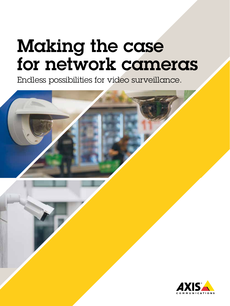## Making the case for network cameras

Endless possibilities for video surveillance.



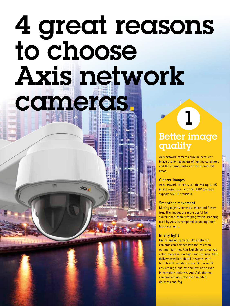## 4 great reasons to choose Axis network cameras.

## Better image quality

1

Axis network cameras provide excellent image quality regardless of lighting conditions and the characteristics of the monitored areas.

#### **Clearer images**

Axis network cameras can deliver up to 4K image resolution, and the HDTV cameras support SMPTE standard.

#### **Smoother movement**

Moving objects come out clear and flickerfree. The images are more useful for surveillance, thanks to progressive scanning used by Axis as compared to analog interlaced scanning.

#### **In any light**

Unlike analog cameras, Axis network cameras can compensate for less than optimal lighting: Axis Lightfinder gives you color images in low light and Forensic WDR delivers excellent detail in scenes with both bright and dark areas. OptimizedIR ensures high-quality and low-noise even in complete darkness. And Axis thermal cameras are accurate even in pitch darkness and fog.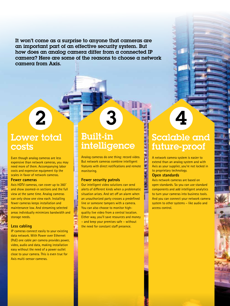It won't come as a surprise to anyone that cameras are an important part of an effective security system. But how does an analog camera differ from a connected IP camera? Here are some of the reasons to choose a network camera from Axis.

## Lower total costs

2

Even though analog cameras are less expensive than network cameras, you may need more of them. Accompanying labor costs and expensive equipment tip the scales in favor of network cameras.

#### **Fewer cameras**

Axis HDTV cameras, can cover up to 360˚ and show zoomed-in sections and the full view at the same time. Analog cameras can only show one view each. Installing fewer cameras keeps installation and maintenance low. And streaming selected areas individually minimizes bandwidth and storage needs.

#### **Less cabling**

IP cameras connect easily to your existing data network. With Power over Ethernet (PoE) one cable per camera provides power, video, audio and data, making installation easy without the need of a power outlet close to your camera. This is even true for Axis multi-sensor cameras.

## Built-in intelligence

3

Analog cameras do one thing: record video. But network cameras combine intelligent features with direct notifications and remote monitoring.

#### **Fewer security patrols**

Our intelligent video solutions can send alerts of different kinds when a problematic situation arises. And set off an alarm when an unauthorized party crosses a predefined line or someone tampers with a camera. You can also choose to monitor highquality live video from a central location. Either way, you'll save resources and money – and keep your premises safe – without the need for constant staff presence.

## Scalable and future-proof

4

A network camera system is easier to extend than an analog system and with Axis as your supplier, you're not locked in to proprietary technology.

#### **Open standards**

Axis network cameras are based on open standards. So you can use standard components and add intelligent analytics to turn your cameras into business tools. And you can connect your network camera system to other systems – like audio and access control.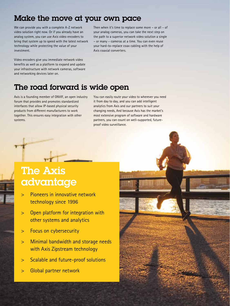### Make the move at your own pace

We can provide you with a complete A-Z network video solution right now. Or if you already have an analog system, you can use Axis video encoders to bring that system up to speed with the latest network technology while protecting the value of your investment.

Then when it's time to replace some more – or all – of your analog cameras, you can take the next step on the path to a superior network video solution a single – or many – cameras at a time. You can even reuse your hard-to-replace coax cabling with the help of Axis coaxial converters.

Video encoders give you immediate network video benefits as well as a platform to expand and update your infrastructure with network cameras, software and networking devices later on.

### The road forward is wide open

Axis is a founding member of ONVIF, an open industry forum that provides and promotes standardized interfaces that allow IP-based physical security products from different manufacturers to work together. This ensures easy integration with other systems.

You can easily route your video to wherever you need it from day to day, and you can add intelligent analytics from Axis and our partners to suit your changing needs, And because Axis has the market's most extensive program of software and hardware partners, you can count on well-supported, futureproof video surveillance.

## The Axis advantage

- > Pioneers in innovative network technology since 1996
- > Open platform for integration with other systems and analytics
- > Focus on cybersecurity
- > Minimal bandwidth and storage needs with Axis Zipstream technology
- > Scalable and future-proof solutions
- > Global partner network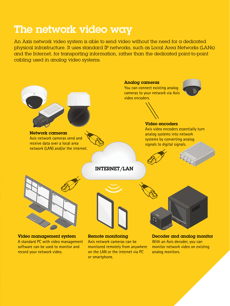## The network video way

An Axis network video system is able to send video without the need for a dedicated physical infrastructure. It uses standard IP networks, such as Local Area Networks (LANs) and the Internet, for transporting information, rather than the dedicated point-to-point cabling used in analog video systems.

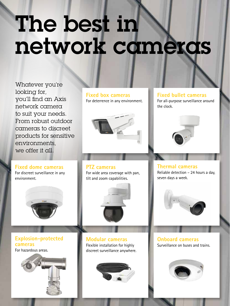## The best in network cameras

Whatever you're looking for, you'll find an Axis network camera to suit your needs. From robust outdoor cameras to discreet products for sensitive environments, we offer it all.

**Fixed dome cameras** For discreet surveillance in any environment.



#### **Explosion-protected cameras**

For hazardous areas.



#### **Fixed box cameras**

For deterrence in any environment.



For wide area coverage with pan,

tilt and zoom capabilities.

**PTZ cameras**

#### **Fixed bullet cameras**

For all-purpose surveillance around the clock.



**Thermal cameras** Reliable detection – 24 hours a day, seven days a week.



**Modular cameras** Flexible installation for highly discreet surveillance anywhere.



**Onboard cameras** Surveillance on buses and trains.

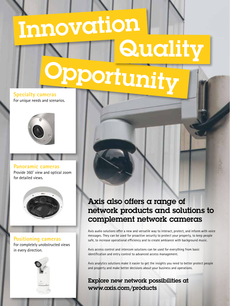# oportuni Innovation Qualit

**Specialty cameras** For unique needs and scenarios.



**Panoramic cameras** Provide 360˚ view and optical zoom for detailed views.



**Positioning cameras** For completely unobstructed views in every direction.



### Axis also offers a range of network products and solutions to complement network cameras

Axis audio solutions offer a new and versatile way to interact, protect, and inform with voice messages. They can be used for proactive security to protect your property, to keep people safe, to increase operational efficiency and to create ambiance with background music.

Axis access control and intercom solutions can be used for everything from basic identification and entry control to advanced access management.

Axis analytics solutions make it easier to get the insights you need to better protect people and property and make better decisions about your business and operations.

Explore new network possibilities at www.axis.com/products